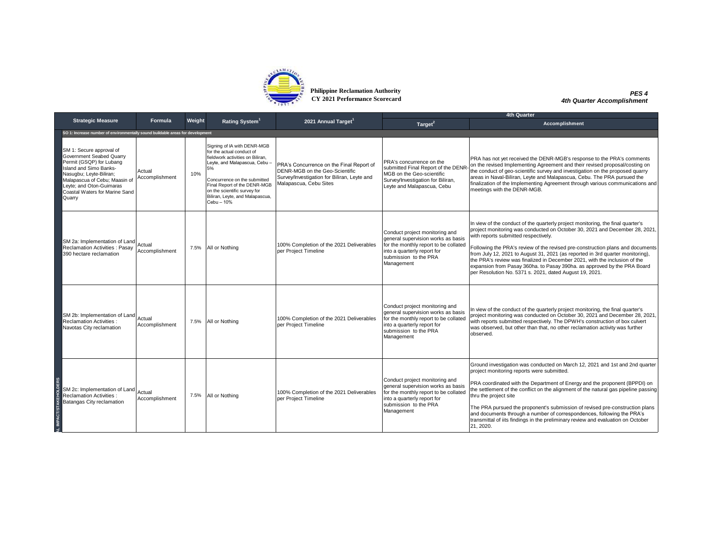

**Philippine Reclamation Authority CY 2021 Performance Scorecard**

*PES 4 4th Quarter Accomplishment*

|                                                                                                                                                                                                                                                |                          |        | <b>4th Quarter</b>                                                                                                                                                                                                                                                                  |                                                                                                                                                     |                                                                                                                                                                                     |                                                                                                                                                                                                                                                                                                                                                                                                                                                                                                                                                                                                 |  |
|------------------------------------------------------------------------------------------------------------------------------------------------------------------------------------------------------------------------------------------------|--------------------------|--------|-------------------------------------------------------------------------------------------------------------------------------------------------------------------------------------------------------------------------------------------------------------------------------------|-----------------------------------------------------------------------------------------------------------------------------------------------------|-------------------------------------------------------------------------------------------------------------------------------------------------------------------------------------|-------------------------------------------------------------------------------------------------------------------------------------------------------------------------------------------------------------------------------------------------------------------------------------------------------------------------------------------------------------------------------------------------------------------------------------------------------------------------------------------------------------------------------------------------------------------------------------------------|--|
| <b>Strategic Measure</b>                                                                                                                                                                                                                       | Formula                  | Weight | Rating System <sup>1</sup>                                                                                                                                                                                                                                                          | 2021 Annual Target <sup>1</sup>                                                                                                                     | Target <sup>2</sup>                                                                                                                                                                 | Accomplishment                                                                                                                                                                                                                                                                                                                                                                                                                                                                                                                                                                                  |  |
| SO 1: Increase number of environmentally sound buildable areas for development                                                                                                                                                                 |                          |        |                                                                                                                                                                                                                                                                                     |                                                                                                                                                     |                                                                                                                                                                                     |                                                                                                                                                                                                                                                                                                                                                                                                                                                                                                                                                                                                 |  |
| SM 1: Secure approval of<br>Government Seabed Quarry<br>Permit (GSQP) for Lubang<br>Island and Simo Banks-<br>Nasugbu; Leyte-Biliran;<br>Malapascua of Cebu; Maasin of<br>Levte: and Oton-Guimaras<br>Coastal Waters for Marine Sand<br>Quarry | Actual<br>Accomplishment | 10%    | Signing of IA with DENR-MGB<br>for the actual conduct of<br>fieldwork activities on Biliran.<br>Leyte, and Malapascua, Cebu-<br>5%<br>Concurrence on the submitted<br>Final Report of the DENR-MGB<br>on the scientific survey for<br>Biliran, Leyte, and Malapascua,<br>Cebu - 10% | PRA's Concurrence on the Final Report of<br>DENR-MGB on the Geo-Scientific<br>Survey/Investigation for Biliran, Leyte and<br>Malapascua, Cebu Sites | PRA's concurrence on the<br>submitted Final Report of the DENR-<br>MGB on the Geo-scientific<br>Survey/Investigation for Biliran,<br>Leyte and Malapascua, Cebu                     | PRA has not yet received the DENR-MGB's response to the PRA's comments<br>on the revised Implementing Agreement and their revised proposal/costing on<br>the conduct of geo-scientific survey and investigation on the proposed quarry<br>areas in Naval-Biliran, Leyte and Malapascua, Cebu. The PRA pursued the<br>finalization of the Implementing Agreement through various communications and<br>meetings with the DENR-MGB.                                                                                                                                                               |  |
| SM 2a: Implementation of Land<br><b>Reclamation Activities: Pasay</b><br>390 hectare reclamation                                                                                                                                               | Actual<br>Accomplishment |        | 7.5%   All or Nothing                                                                                                                                                                                                                                                               | 100% Completion of the 2021 Deliverables<br>per Project Timeline                                                                                    | Conduct project monitoring and<br>general supervision works as basis<br>for the monthly report to be collated<br>into a quarterly report for<br>submission to the PRA<br>Management | In view of the conduct of the quarterly project monitoring, the final quarter's<br>project monitoring was conducted on October 30, 2021 and December 28, 2021,<br>with reports submitted respectively.<br>Following the PRA's review of the revised pre-construction plans and documents<br>from July 12, 2021 to August 31, 2021 (as reported in 3rd quarter monitoring),<br>the PRA's review was finalized in December 2021, with the inclusion of the<br>expansion from Pasay 360ha. to Pasay 390ha. as approved by the PRA Board<br>per Resolution No. 5371 s. 2021, dated August 19, 2021. |  |
| SM 2b: Implementation of Land Actual<br><b>Reclamation Activities:</b><br>Navotas City reclamation                                                                                                                                             | Accomplishment           |        | 7.5% All or Nothing                                                                                                                                                                                                                                                                 | 100% Completion of the 2021 Deliverables<br>per Project Timeline                                                                                    | Conduct project monitoring and<br>general supervision works as basis<br>for the monthly report to be collated<br>into a quarterly report for<br>submission to the PRA<br>Management | In view of the conduct of the quarterly project monitoring, the final quarter's<br>project monitoring was conducted on October 30, 2021 and December 28, 2021,<br>with reports submitted respectively. The DPWH's construction of box culvert<br>was observed, but other than that, no other reclamation activity was further<br>observed.                                                                                                                                                                                                                                                      |  |
| SM 2c: Implementation of Land Actual<br><b>Reclamation Activities:</b><br>Batangas City reclamation                                                                                                                                            | Accomplishment           |        | 7.5%   All or Nothing                                                                                                                                                                                                                                                               | 100% Completion of the 2021 Deliverables<br>per Project Timeline                                                                                    | Conduct project monitoring and<br>general supervision works as basis<br>for the monthly report to be collated<br>into a quarterly report for<br>submission to the PRA<br>Management | Ground investigation was conducted on March 12, 2021 and 1st and 2nd quarter<br>project monitoring reports were submitted.<br>PRA coordinated with the Department of Energy and the proponent (BPPDI) on<br>the settlement of the conflict on the alignment of the natural gas pipeline passing<br>thru the project site<br>The PRA pursued the proponent's submission of revised pre-construction plans<br>and documents through a number of correspondences, following the PRA's<br>transmittal of iits findings in the preliminary review and evaluation on October<br>21, 2020.             |  |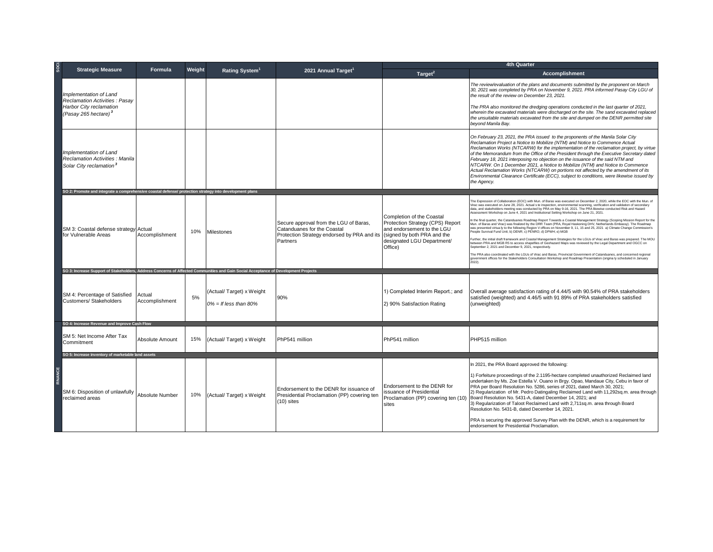| SO <sub>CI</sub>                                                                                                                    |                          |        |                                                      |                                                                                                                                  | <b>4th Quarter</b>                                                                                                                                                  |                                                                                                                                                                                                                                                                                                                                                                                                                                                                                                                                                                                                                                                                                                                                                                                                                                                                                                                                                                                                                                                                                                                                                                                                                                                                                                                                                                                                                                                                                                  |  |  |
|-------------------------------------------------------------------------------------------------------------------------------------|--------------------------|--------|------------------------------------------------------|----------------------------------------------------------------------------------------------------------------------------------|---------------------------------------------------------------------------------------------------------------------------------------------------------------------|--------------------------------------------------------------------------------------------------------------------------------------------------------------------------------------------------------------------------------------------------------------------------------------------------------------------------------------------------------------------------------------------------------------------------------------------------------------------------------------------------------------------------------------------------------------------------------------------------------------------------------------------------------------------------------------------------------------------------------------------------------------------------------------------------------------------------------------------------------------------------------------------------------------------------------------------------------------------------------------------------------------------------------------------------------------------------------------------------------------------------------------------------------------------------------------------------------------------------------------------------------------------------------------------------------------------------------------------------------------------------------------------------------------------------------------------------------------------------------------------------|--|--|
| <b>Strategic Measure</b>                                                                                                            | Formula                  | Weight | Rating System <sup>1</sup>                           | 2021 Annual Target                                                                                                               | Target <sup>2</sup>                                                                                                                                                 | <b>Accomplishment</b>                                                                                                                                                                                                                                                                                                                                                                                                                                                                                                                                                                                                                                                                                                                                                                                                                                                                                                                                                                                                                                                                                                                                                                                                                                                                                                                                                                                                                                                                            |  |  |
| Implementation of Land<br>Reclamation Activities : Pasay<br>Harbor City reclamation<br>(Pasay 265 hectare) <sup>3</sup>             |                          |        |                                                      |                                                                                                                                  |                                                                                                                                                                     | The review/evaluation of the plans and documents submitted by the proponent on March<br>30, 2021 was completed by PRA on November 9, 2021. PRA informed Pasay City LGU of<br>the result of the review on December 23, 2021.<br>The PRA also monitored the dredging operations conducted in the last quarter of 2021,<br>wherein the excavated materials were discharged on the site. The sand excavated replaced<br>the unsuitable materials excavated from the site and dumped on the DENR permitted site<br>beyond Manila Bay.                                                                                                                                                                                                                                                                                                                                                                                                                                                                                                                                                                                                                                                                                                                                                                                                                                                                                                                                                                 |  |  |
| Implementation of Land<br>Reclamation Activities : Manila<br>Solar City reclamation <sup>3</sup>                                    |                          |        |                                                      |                                                                                                                                  |                                                                                                                                                                     | On February 23, 2021, the PRA issued to the proponents of the Manila Solar City<br>Reclamation Project a Notice to Mobilize (NTM) and Notice to Commence Actual<br>Reclamation Works (NTCARW) for the implementation of the reclamation project, by virtue<br>of the Memorandum from the Office of the President through the Executive Secretary dated<br>February 18, 2021 interposing no objection on the issuance of the said NTM and<br>NTCARW. On 1 December 2021, a Notice to Mobilize (NTM) and Notice to Commence<br>Actual Reclamation Works (NTCARW) on portions not affected by the amendment of its<br>Environmental Clearance Certificate (ECC), subject to conditions, were likewise issued by<br>the Agency.                                                                                                                                                                                                                                                                                                                                                                                                                                                                                                                                                                                                                                                                                                                                                                      |  |  |
| SO 2: Promote and integrate a comprehensive coastal defense/ protection strategy into development plans                             |                          |        |                                                      |                                                                                                                                  |                                                                                                                                                                     |                                                                                                                                                                                                                                                                                                                                                                                                                                                                                                                                                                                                                                                                                                                                                                                                                                                                                                                                                                                                                                                                                                                                                                                                                                                                                                                                                                                                                                                                                                  |  |  |
| SM 3: Coastal defense strategy Actual<br>for Vulnerable Areas                                                                       | Accomplishment           | 10%    | Milestones                                           | Secure approval from the LGU of Baras,<br>Catanduanes for the Coastal<br>Protection Strategy endorsed by PRA and its<br>Partners | Completion of the Coastal<br>Protection Strategy (CPS) Report<br>and endorsement to the LGU<br>(signed by both PRA and the<br>designated LGU Department/<br>Office) | The Expression of Collaboration (EOC) with Mun. of Baras was executed on December 2, 2020, while the EOC with the Mun. of<br>Virac was executed on June 28, 2021. Actual s te inspection, environmental scanning, verification and validation of secondary<br>data, and stakeholders meeting was conducted by PRA on May 9-16, 2021. The PRA likewise conducted Risk and Hazard<br>Assessment Workshop on June 4, 2021 and Institutional Setting Workshop on June 21, 2021.<br>n the final quarter, the Catanduanes Roadmap Report Towards a Coastal Management Strategy (Scoping Mission Report for the<br>Mun. of Baras and Virac) was finalized by the DRR Team (PRA, Royal Haskoning DHV, Netherlands Embassy). The Roadmap<br>was presented virtua ly to the following Region V offices on November 9, 11, 15 and 25, 2021 a) Climate Change Commission's<br>People Survival Fund Unit; b) DENR; c) PENRO; d) DPWH; e) MGB<br>Further, the initial draft framework and Coastal Management Strategies for the LGUs of Virac and Baras was prepared. The MOU<br>between PRA and MGB R5 to access shapefiles of Geohazard Maps was reviewed by the Legal Department and OGCC on<br>September 2, 2021 and December 9, 2021, respectively.<br>The PRA also coordinated with the LGUs of Virac and Baras, Provincial Government of Catanduanes, and concerned regional<br>government offices for the Stakeholders Consultation Workshop and Roadmap Presentation (originally scheduled in January |  |  |
| SO 3: Increase Support of Stakeholders, Address Concerns of Affected Communities and Gain Social Acceptance of Development Projects |                          |        |                                                      |                                                                                                                                  |                                                                                                                                                                     |                                                                                                                                                                                                                                                                                                                                                                                                                                                                                                                                                                                                                                                                                                                                                                                                                                                                                                                                                                                                                                                                                                                                                                                                                                                                                                                                                                                                                                                                                                  |  |  |
| SM 4: Percentage of Satisfied<br>Customers/ Stakeholders                                                                            | Actual<br>Accomplishment | 5%     | (Actual/Target) x Weight<br>$0\% =$ If less than 80% | 90%                                                                                                                              | 1) Completed Interim Report.; and<br>2) 90% Satisfaction Rating                                                                                                     | Overall average satisfaction rating of 4.44/5 with 90.54% of PRA stakeholders<br>satisfied (weighted) and 4.46/5 with 91 89% of PRA stakeholders satisfied<br>(unweighted)                                                                                                                                                                                                                                                                                                                                                                                                                                                                                                                                                                                                                                                                                                                                                                                                                                                                                                                                                                                                                                                                                                                                                                                                                                                                                                                       |  |  |
| SO 4: Increase Revenue and Improve Cash Flow                                                                                        |                          |        |                                                      |                                                                                                                                  |                                                                                                                                                                     |                                                                                                                                                                                                                                                                                                                                                                                                                                                                                                                                                                                                                                                                                                                                                                                                                                                                                                                                                                                                                                                                                                                                                                                                                                                                                                                                                                                                                                                                                                  |  |  |
| SM 5: Net Income After Tax<br>Commitment                                                                                            | Absolute Amount          | 15%    | (Actual/Target) x Weight                             | PhP541 million                                                                                                                   | PhP541 million                                                                                                                                                      | PHP515 million                                                                                                                                                                                                                                                                                                                                                                                                                                                                                                                                                                                                                                                                                                                                                                                                                                                                                                                                                                                                                                                                                                                                                                                                                                                                                                                                                                                                                                                                                   |  |  |
| SO 5: Increase inventory of marketable land assets                                                                                  |                          |        |                                                      |                                                                                                                                  |                                                                                                                                                                     |                                                                                                                                                                                                                                                                                                                                                                                                                                                                                                                                                                                                                                                                                                                                                                                                                                                                                                                                                                                                                                                                                                                                                                                                                                                                                                                                                                                                                                                                                                  |  |  |
| SM 6: Disposition of unlawfully<br>reclaimed areas                                                                                  | Absolute Number          | 10%    | (Actual/Target) x Weight                             | Endorsement to the DENR for issuance of<br>Presidential Proclamation (PP) covering ten<br>$(10)$ sites                           | Endorsement to the DENR for<br>issuance of Presidential<br>Proclamation (PP) covering ten (10)<br>sites                                                             | In 2021, the PRA Board approved the following:<br>1) Forfeiture proceedings of the 2.1195-hectare completed unauthorized Reclaimed land<br>undertaken by Ms. Zoe Estella V. Ouano in Brgy. Opao, Mandaue City, Cebu in favor of<br>PRA per Board Resolution No. 5286, series of 2021, dated March 30, 2021;<br>2) Regularization of Mr. Pedro Datingaling Reclaimed Land with 11,292sq.m. area through<br>Board Resolution No. 5431-A, dated December 14, 2021; and<br>3) Regularization of Taloot Reclaimed Land with 2,711sq.m. area through Board<br>Resolution No. 5431-B, dated December 14, 2021.<br>PRA is securing the approved Survey Plan with the DENR, which is a requirement for<br>endorsement for Presidential Proclamation.                                                                                                                                                                                                                                                                                                                                                                                                                                                                                                                                                                                                                                                                                                                                                      |  |  |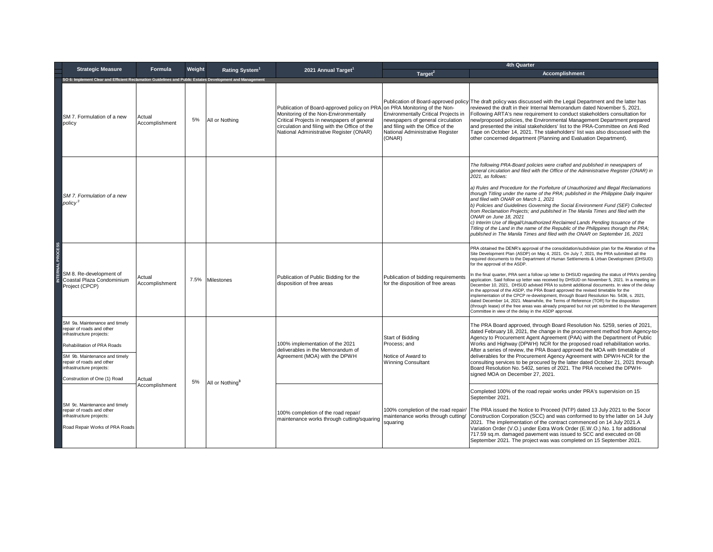| <b>Strategic Measure</b>                                                                                                                                                                                                                        | Formula                  | Weight |                             |                                                                                                                                                                                                                                | 4th Quarter                                                                                                                                                                                   |                                                                                                                                                                                                                                                                                                                                                                                                                                                                                                                                                                                                                                                                                                                                                                                                                                                                                                                                                                                                                                                          |  |
|-------------------------------------------------------------------------------------------------------------------------------------------------------------------------------------------------------------------------------------------------|--------------------------|--------|-----------------------------|--------------------------------------------------------------------------------------------------------------------------------------------------------------------------------------------------------------------------------|-----------------------------------------------------------------------------------------------------------------------------------------------------------------------------------------------|----------------------------------------------------------------------------------------------------------------------------------------------------------------------------------------------------------------------------------------------------------------------------------------------------------------------------------------------------------------------------------------------------------------------------------------------------------------------------------------------------------------------------------------------------------------------------------------------------------------------------------------------------------------------------------------------------------------------------------------------------------------------------------------------------------------------------------------------------------------------------------------------------------------------------------------------------------------------------------------------------------------------------------------------------------|--|
|                                                                                                                                                                                                                                                 |                          |        | Rating System <sup>1</sup>  | 2021 Annual Target <sup>1</sup>                                                                                                                                                                                                | Target <sup>2</sup>                                                                                                                                                                           | <b>Accomplishment</b>                                                                                                                                                                                                                                                                                                                                                                                                                                                                                                                                                                                                                                                                                                                                                                                                                                                                                                                                                                                                                                    |  |
| SO 6: Implement Clear and Efficient Reclamation Guidelines and Public Estates Development and Manage                                                                                                                                            |                          |        |                             |                                                                                                                                                                                                                                |                                                                                                                                                                                               |                                                                                                                                                                                                                                                                                                                                                                                                                                                                                                                                                                                                                                                                                                                                                                                                                                                                                                                                                                                                                                                          |  |
| SM 7. Formulation of a new<br>policy                                                                                                                                                                                                            | Actual<br>Accomplishment | 5%     | All or Nothing              | Publication of Board-approved policy on PRA<br>Monitoring of the Non-Environmentally<br>Critical Projects in newspapers of general<br>circulation and filing with the Office of the<br>National Administrative Register (ONAR) | on PRA Monitoring of the Non-<br>Environmentally Critical Projects in<br>newspapers of general circulation<br>and filing with the Office of the<br>National Administrative Register<br>(ONAR) | Publication of Board-approved policy The draft policy was discussed with the Legal Department and the latter has<br>reviewed the draft in their Internal Memorandum dated November 5, 2021.<br>Following ARTA's new requirement to conduct stakeholders consultation for<br>new/proposed policies, the Environmental Management Department prepared<br>and presented the initial stakeholders' list to the PRA-Committee on Anti Red<br>Tape on October 14, 2021. The stakeholders' list was also discussed with the<br>other concerned department (Planning and Evaluation Department).                                                                                                                                                                                                                                                                                                                                                                                                                                                                 |  |
| SM 7. Formulation of a new<br>policy <sup>3</sup>                                                                                                                                                                                               |                          |        |                             |                                                                                                                                                                                                                                |                                                                                                                                                                                               | The following PRA-Board policies were crafted and published in newspapers of<br>general circulation and filed with the Office of the Administrative Register (ONAR) in<br>2021, as follows:<br>a) Rules and Procedure for the Forfeiture of Unauthorized and Illegal Reclamations<br>thorugh Titling under the name of the PRA; published in the Philippine Daily Inquirer<br>and filed with ONAR on March 1, 2021<br>b) Policies and Guidelines Governing the Social Environment Fund (SEF) Collected<br>from Reclamation Projects; and published in The Manila Times and filed with the<br>ONAR on June 18, 2021<br>c) Interim Use of Illegal/Unauthorized Reclaimed Lands Pending Issuance of the<br>Titling of the Land in the name of the Republic of the Philippines thorugh the PRA;<br>published in The Manila Times and filed with the ONAR on September 16, 2021                                                                                                                                                                               |  |
| SM 8. Re-development of<br>Coastal Plaza Condominium<br>Project (CPCP)                                                                                                                                                                          | Actual<br>Accomplishment | 7.5%   | Milestones                  | Publication of Public Bidding for the<br>disposition of free areas                                                                                                                                                             | Publication of bidding requirements<br>for the disposition of free areas                                                                                                                      | PRA obtained the DENR's approval of the consolidation/subdivision plan for the Alteration of the<br>Site Development Plan (ASDP) on May 4, 2021. On July 7, 2021, the PRA submitted all the<br>required documents to the Department of Human Settlements & Urban Development (DHSUD)<br>for the approval of the ASDP.<br>In the final quarter, PRA sent a follow up letter to DHSUD regarding the status of PRA's pending<br>application. Said follow up letter was received by DHSUD on November 5, 2021. In a meeting on<br>December 10, 2021, DHSUD advised PRA to submit additional documents. In view of the delay<br>in the approval of the ASDP, the PRA Board approved the revised timetable for the<br>implementation of the CPCP re-development, through Board Resolution No. 5436, s. 2021,<br>dated December 14, 2021. Meanwhile, the Terms of Reference (TOR) for the disposition<br>(through lease) of the free areas was already prepared but not yet submitted to the Management<br>Committee in view of the delay in the ASDP approval. |  |
| SM 9a. Maintenance and timely<br>repair of roads and other<br>infrastructure projects:<br>Rehabilitation of PRA Roads<br>SM 9b. Maintenance and timely<br>repair of roads and other<br>infrastructure projects:<br>Construction of One (1) Road | Actual                   | 5%     | All or Nothing <sup>3</sup> | 100% implementation of the 2021<br>deliverables in the Memorandum of<br>Agreement (MOA) with the DPWH                                                                                                                          | Start of Bidding<br>Process: and<br>Notice of Award to<br><b>Winning Consultant</b>                                                                                                           | The PRA Board approved, through Board Resolution No. 5259, series of 2021,<br>dated February 18, 2021, the change in the procurement method from Agency-to-<br>Agency to Procurement Agent Agreement (PAA) with the Department of Public<br>Works and Highway (DPWH) NCR for the proposed road rehabilitation works.<br>After a series of review, the PRA Board approved the MOA with timetable of<br>deliverables for the Procurement Agency Agreement with DPWH-NCR for the<br>consulting services to be procured by the latter dated October 21, 2021 through<br>Board Resolution No. 5402, series of 2021. The PRA received the DPWH-<br>signed MOA on December 27, 2021.                                                                                                                                                                                                                                                                                                                                                                            |  |
| SM 9c. Maintenance and timely<br>repair of roads and other<br>infrastructure projects:<br>Road Repair Works of PRA Roads                                                                                                                        | Accomplishment           |        |                             | 100% completion of the road repair/<br>maintenance works through cutting/squaring                                                                                                                                              | 100% completion of the road repair/<br>maintenance works through cutting/<br>squaring                                                                                                         | Completed 100% of the road repair works under PRA's supervision on 15<br>September 2021.<br>The PRA issued the Notice to Proceed (NTP) dated 13 July 2021 to the Socor<br>Construction Corporation (SCC) and was conformed to by trhe latter on 14 July<br>2021. The implementation of the contract commenced on 14 July 2021.A<br>Variation Order (V.O.) under Extra Work Order (E.W.O.) No. 1 for additional<br>717.59 sq.m. damaged pavement was issued to SCC and executed on 08<br>September 2021. The project was was completed on 15 September 2021.                                                                                                                                                                                                                                                                                                                                                                                                                                                                                              |  |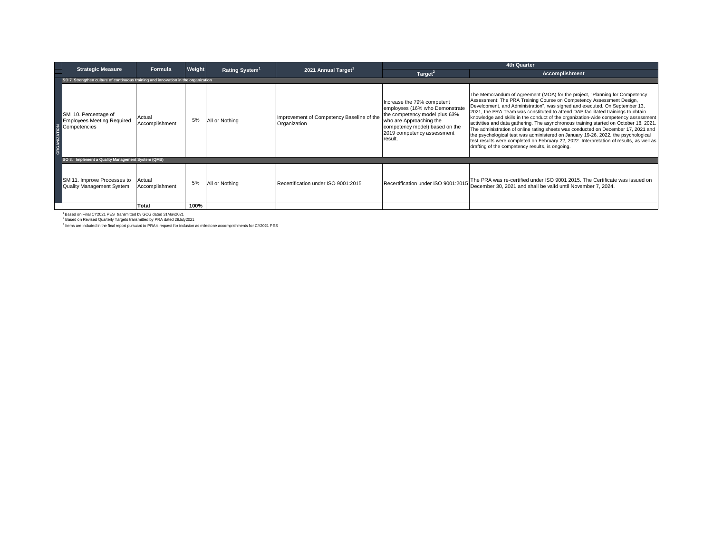| <b>Strategic Measure</b>                                                           | Formula                  | Weight |                            |                                                           | <b>4th Quarter</b>                                                                                                                                                                                  |                                                                                                                                                                                                                                                                                                                                                                                                                                                                                                                                                                                                                                                                                                                                                                                                                                |
|------------------------------------------------------------------------------------|--------------------------|--------|----------------------------|-----------------------------------------------------------|-----------------------------------------------------------------------------------------------------------------------------------------------------------------------------------------------------|--------------------------------------------------------------------------------------------------------------------------------------------------------------------------------------------------------------------------------------------------------------------------------------------------------------------------------------------------------------------------------------------------------------------------------------------------------------------------------------------------------------------------------------------------------------------------------------------------------------------------------------------------------------------------------------------------------------------------------------------------------------------------------------------------------------------------------|
|                                                                                    |                          |        | Rating System <sup>1</sup> | 2021 Annual Target <sup>1</sup>                           | Target <sup>2</sup>                                                                                                                                                                                 | <b>Accomplishment</b>                                                                                                                                                                                                                                                                                                                                                                                                                                                                                                                                                                                                                                                                                                                                                                                                          |
| SO 7. Strengthen culture of continuous training and innovation in the organization |                          |        |                            |                                                           |                                                                                                                                                                                                     |                                                                                                                                                                                                                                                                                                                                                                                                                                                                                                                                                                                                                                                                                                                                                                                                                                |
| SM 10. Percentage of<br><b>Employees Meeting Required</b>                          | Actual<br>Accomplishment | 5%     | All or Nothing             | Improvement of Competency Baseline of the<br>Organization | Increase the 79% competent<br>employees (16% who Demonstrate<br>the competency model plus 63%<br>who are Approaching the<br>competency model) based on the<br>2019 competency assessment<br>result. | The Memorandum of Agreement (MOA) for the project, "Planning for Competency"<br>Assessment: The PRA Training Course on Competency Assessment Design,<br>Development, and Administration", was signed and executed. On September 13,<br>2021, the PRA Team was constituted to attend DAP-facilitated trainings to obtain<br>knowledge and skills in the conduct of the organization-wide competency assessment<br>activities and data gathering. The asynchronous training started on October 18, 2021.<br>The administration of online rating sheets was conducted on December 17, 2021 and<br>the psychological test was administered on January 19-26, 2022. the psychological<br>test results were completed on February 22, 2022. Interpretation of results, as well as<br>drafting of the competency results, is ongoing. |
| SO 8. Implement a Quality Management System (QMS)                                  |                          |        |                            |                                                           |                                                                                                                                                                                                     |                                                                                                                                                                                                                                                                                                                                                                                                                                                                                                                                                                                                                                                                                                                                                                                                                                |
| SM 11. Improve Processes to<br><b>Quality Management System</b>                    | Actual<br>Accomplishment |        | All or Nothing             | Recertification under ISO 9001:2015                       | Recertification under ISO 9001:2015                                                                                                                                                                 | The PRA was re-certified under ISO 9001 2015. The Certificate was issued on<br>December 30, 2021 and shall be valid until November 7, 2024.                                                                                                                                                                                                                                                                                                                                                                                                                                                                                                                                                                                                                                                                                    |
|                                                                                    | Total                    | 100%   |                            |                                                           |                                                                                                                                                                                                     |                                                                                                                                                                                                                                                                                                                                                                                                                                                                                                                                                                                                                                                                                                                                                                                                                                |

<sup>1</sup> Based on Final CY2021 PES transmitted by GCG dated 31Mav2021<br><sup>2</sup> Based on Revised Quarterly Targets transmitted by PRA dated 29July2021

<sup>3</sup> Items are included in the final report pursuant to PRA's request for inclusion as milestone accomp ishments for CY2021 PES